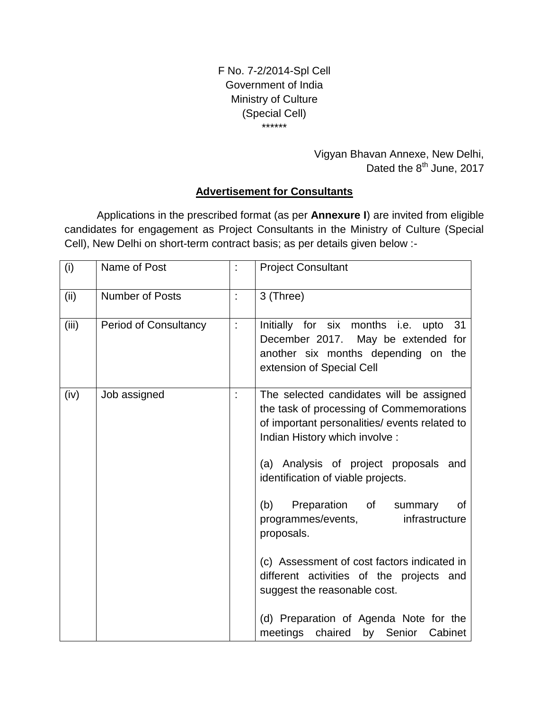F No. 7-2/2014-Spl Cell Government of India Ministry of Culture (Special Cell) \*\*\*\*\*\*

> Vigyan Bhavan Annexe, New Delhi, Dated the 8<sup>th</sup> June, 2017

### **Advertisement for Consultants**

Applications in the prescribed format (as per **Annexure I**) are invited from eligible candidates for engagement as Project Consultants in the Ministry of Culture (Special Cell), New Delhi on short-term contract basis; as per details given below :-

| (i)   | Name of Post                 |   | <b>Project Consultant</b>                                                                                                                                                                                                                                                                                                                              |
|-------|------------------------------|---|--------------------------------------------------------------------------------------------------------------------------------------------------------------------------------------------------------------------------------------------------------------------------------------------------------------------------------------------------------|
| (ii)  | Number of Posts              | ÷ | 3 (Three)                                                                                                                                                                                                                                                                                                                                              |
| (iii) | <b>Period of Consultancy</b> |   | Initially for six months i.e. upto<br>- 31<br>December 2017. May be extended for<br>another six months depending on the<br>extension of Special Cell                                                                                                                                                                                                   |
| (iv)  | Job assigned                 |   | The selected candidates will be assigned<br>the task of processing of Commemorations<br>of important personalities/ events related to<br>Indian History which involve :<br>(a) Analysis of project proposals and<br>identification of viable projects.<br>Preparation of<br>(b)<br>summary<br>0f<br>programmes/events,<br>infrastructure<br>proposals. |
|       |                              |   | (c) Assessment of cost factors indicated in<br>different activities of the projects and<br>suggest the reasonable cost.<br>(d) Preparation of Agenda Note for the<br>Senior<br>meetings<br>chaired<br>by<br>Cabinet                                                                                                                                    |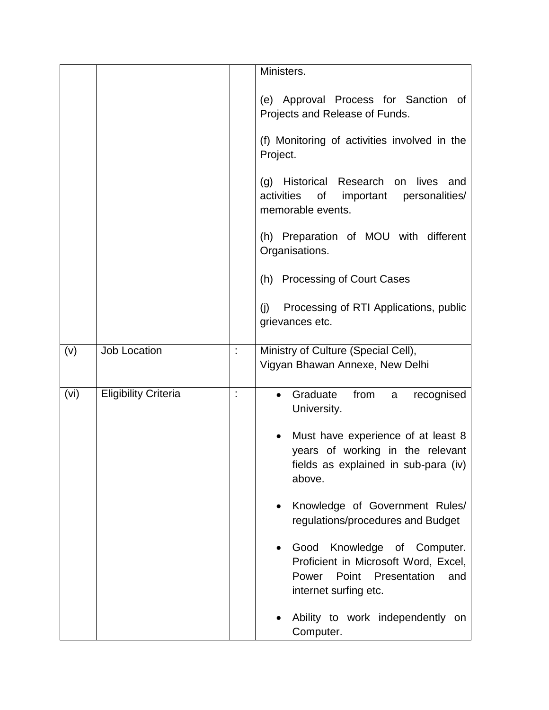|      |                             |   | Ministers.                                                                                                                               |
|------|-----------------------------|---|------------------------------------------------------------------------------------------------------------------------------------------|
|      |                             |   | (e) Approval Process for Sanction of<br>Projects and Release of Funds.                                                                   |
|      |                             |   | (f) Monitoring of activities involved in the<br>Project.                                                                                 |
|      |                             |   | Historical Research<br>lives<br>(g)<br>on<br>and<br>activities<br>of<br>important personalities/<br>memorable events.                    |
|      |                             |   | (h) Preparation of MOU with different<br>Organisations.                                                                                  |
|      |                             |   | (h) Processing of Court Cases                                                                                                            |
|      |                             |   | Processing of RTI Applications, public<br>(j)<br>grievances etc.                                                                         |
| (v)  | <b>Job Location</b>         | t | Ministry of Culture (Special Cell),<br>Vigyan Bhawan Annexe, New Delhi                                                                   |
| (vi) | <b>Eligibility Criteria</b> | t | Graduate<br>from<br>recognised<br>a<br>University.                                                                                       |
|      |                             |   | Must have experience of at least 8<br>years of working in the relevant<br>fields as explained in sub-para (iv)<br>above.                 |
|      |                             |   | Knowledge of Government Rules/<br>regulations/procedures and Budget                                                                      |
|      |                             |   | Knowledge of Computer.<br>Good<br>Proficient in Microsoft Word, Excel,<br>Power<br>Point<br>Presentation<br>and<br>internet surfing etc. |
|      |                             |   | Ability to work independently on<br>Computer.                                                                                            |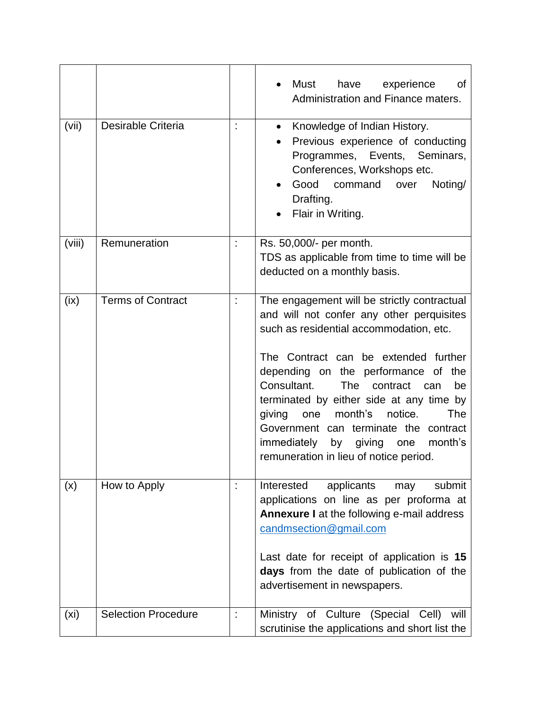|                   |                            |                      | Must<br>have<br>experience<br>οf<br>Administration and Finance maters.                                                                                                                                                                                                                                                                                                                                                                                                                                 |
|-------------------|----------------------------|----------------------|--------------------------------------------------------------------------------------------------------------------------------------------------------------------------------------------------------------------------------------------------------------------------------------------------------------------------------------------------------------------------------------------------------------------------------------------------------------------------------------------------------|
| (vii)             | Desirable Criteria         |                      | Knowledge of Indian History.<br>$\bullet$<br>Previous experience of conducting<br>Programmes, Events, Seminars,<br>Conferences, Workshops etc.<br>Good<br>command<br>Noting/<br>over<br>Drafting.<br>Flair in Writing.                                                                                                                                                                                                                                                                                 |
| (viii)            | Remuneration               |                      | Rs. 50,000/- per month.<br>TDS as applicable from time to time will be<br>deducted on a monthly basis.                                                                                                                                                                                                                                                                                                                                                                                                 |
| (ix)              | <b>Terms of Contract</b>   | $\ddot{\phantom{a}}$ | The engagement will be strictly contractual<br>and will not confer any other perquisites<br>such as residential accommodation, etc.<br>The Contract can be extended further<br>depending on the performance of the<br>Consultant.<br><b>The</b><br>contract<br>be<br>can<br>terminated by either side at any time by<br>month's<br>The<br>notice.<br>giving<br>one<br>Government can terminate the contract<br>immediately<br>by<br>giving<br>month's<br>one<br>remuneration in lieu of notice period. |
| (x)               | How to Apply               |                      | applicants<br>Interested<br>submit<br>may<br>applications on line as per proforma at<br><b>Annexure I</b> at the following e-mail address<br>candmsection@gmail.com<br>Last date for receipt of application is 15<br>days from the date of publication of the<br>advertisement in newspapers.                                                                                                                                                                                                          |
| (x <sub>i</sub> ) | <b>Selection Procedure</b> |                      | Ministry of Culture (Special<br>Cell)<br>will<br>scrutinise the applications and short list the                                                                                                                                                                                                                                                                                                                                                                                                        |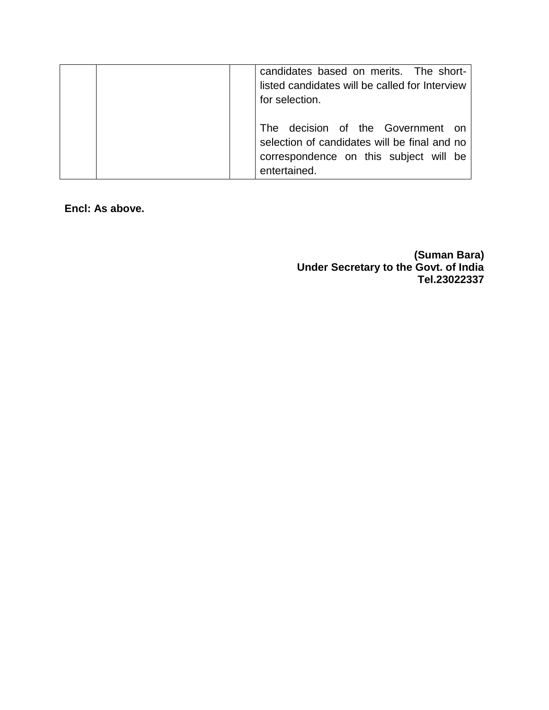| candidates based on merits. The short-<br>listed candidates will be called for Interview<br>for selection.                                  |
|---------------------------------------------------------------------------------------------------------------------------------------------|
| The decision of the Government on<br>selection of candidates will be final and no<br>correspondence on this subject will be<br>entertained. |

**Encl: As above.**

**(Suman Bara) Under Secretary to the Govt. of India Tel.23022337**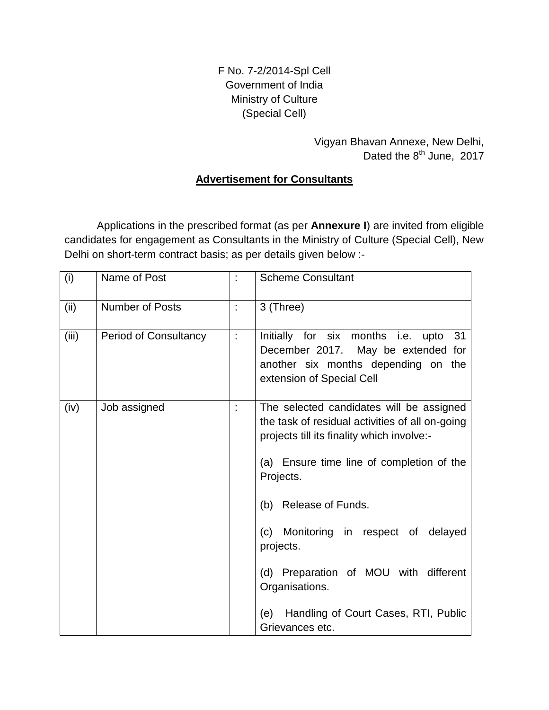F No. 7-2/2014-Spl Cell Government of India Ministry of Culture (Special Cell)

# Vigyan Bhavan Annexe, New Delhi, Dated the  $8^{th}$  June, 2017

### **Advertisement for Consultants**

Applications in the prescribed format (as per **Annexure I**) are invited from eligible candidates for engagement as Consultants in the Ministry of Culture (Special Cell), New Delhi on short-term contract basis; as per details given below :-

| (i)   | Name of Post                 | t. | <b>Scheme Consultant</b>                                                                                                                                                                                                                                                                                                                                                                                       |  |  |
|-------|------------------------------|----|----------------------------------------------------------------------------------------------------------------------------------------------------------------------------------------------------------------------------------------------------------------------------------------------------------------------------------------------------------------------------------------------------------------|--|--|
| (ii)  | <b>Number of Posts</b>       | t  | 3 (Three)                                                                                                                                                                                                                                                                                                                                                                                                      |  |  |
| (iii) | <b>Period of Consultancy</b> |    | Initially for six months i.e. upto<br>-31<br>December 2017. May be extended for<br>another six months depending on the<br>extension of Special Cell                                                                                                                                                                                                                                                            |  |  |
| (iv)  | Job assigned                 |    | The selected candidates will be assigned<br>the task of residual activities of all on-going<br>projects till its finality which involve:-<br>(a) Ensure time line of completion of the<br>Projects.<br>(b) Release of Funds.<br>(c) Monitoring in respect of delayed<br>projects.<br>(d) Preparation of MOU with different<br>Organisations.<br>Handling of Court Cases, RTI, Public<br>(e)<br>Grievances etc. |  |  |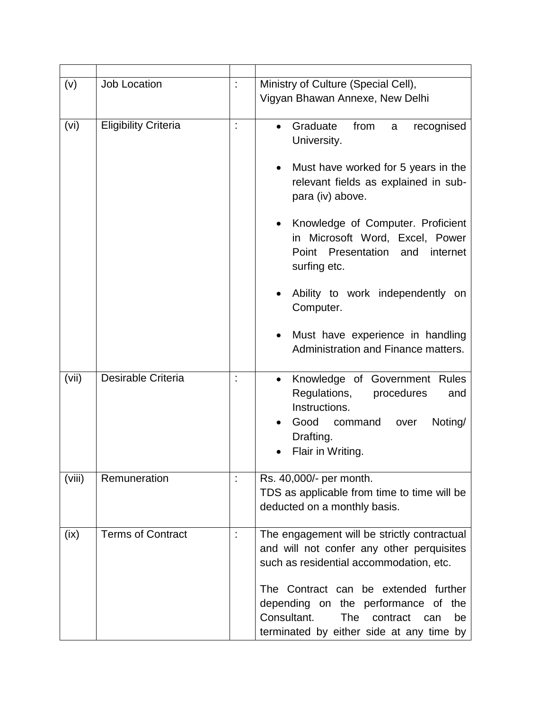| (v)    | <b>Job Location</b>         | t | Ministry of Culture (Special Cell),<br>Vigyan Bhawan Annexe, New Delhi                                                                                                                                                                                                                                                                                                                                          |
|--------|-----------------------------|---|-----------------------------------------------------------------------------------------------------------------------------------------------------------------------------------------------------------------------------------------------------------------------------------------------------------------------------------------------------------------------------------------------------------------|
| (vi)   | <b>Eligibility Criteria</b> | İ | Graduate<br>from<br>recognised<br>a<br>University.<br>Must have worked for 5 years in the<br>relevant fields as explained in sub-<br>para (iv) above.<br>Knowledge of Computer. Proficient<br>in Microsoft Word, Excel, Power<br>Point Presentation and<br>internet<br>surfing etc.<br>Ability to work independently on<br>Computer.<br>Must have experience in handling<br>Administration and Finance matters. |
| (vii)  | Desirable Criteria          |   | Knowledge of Government Rules<br>$\bullet$<br>Regulations,<br>procedures<br>and<br>Instructions.<br>Good<br>Noting/<br>command<br>over<br>Drafting.<br>Flair in Writing.                                                                                                                                                                                                                                        |
| (viii) | Remuneration                |   | Rs. 40,000/- per month.<br>TDS as applicable from time to time will be<br>deducted on a monthly basis.                                                                                                                                                                                                                                                                                                          |
| (ix)   | <b>Terms of Contract</b>    |   | The engagement will be strictly contractual<br>and will not confer any other perquisites<br>such as residential accommodation, etc.<br>The Contract can be extended further<br>depending on the performance of the<br>Consultant.<br><b>The</b><br>contract<br>be<br>can<br>terminated by either side at any time by                                                                                            |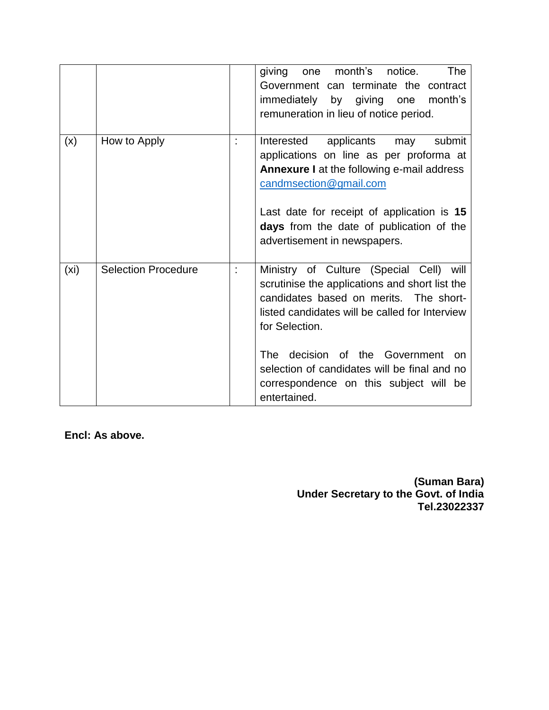|                   |                            | The<br>month's<br>notice.<br>giving<br>one<br>Government can terminate the contract<br>immediately<br>by<br>giving one<br>month's<br>remuneration in lieu of notice period.                                                                                                                                                                                         |
|-------------------|----------------------------|---------------------------------------------------------------------------------------------------------------------------------------------------------------------------------------------------------------------------------------------------------------------------------------------------------------------------------------------------------------------|
| (x)               | How to Apply               | submit<br>Interested<br>applicants<br>may<br>applications on line as per proforma at<br><b>Annexure I</b> at the following e-mail address<br>candmsection@gmail.com<br>Last date for receipt of application is 15<br>days from the date of publication of the<br>advertisement in newspapers.                                                                       |
| (x <sub>i</sub> ) | <b>Selection Procedure</b> | Ministry of Culture (Special Cell) will<br>scrutinise the applications and short list the<br>candidates based on merits. The short-<br>listed candidates will be called for Interview<br>for Selection.<br>decision of the Government<br>The<br><b>on</b><br>selection of candidates will be final and no<br>correspondence on this subject will be<br>entertained. |

**Encl: As above.**

**(Suman Bara) Under Secretary to the Govt. of India Tel.23022337**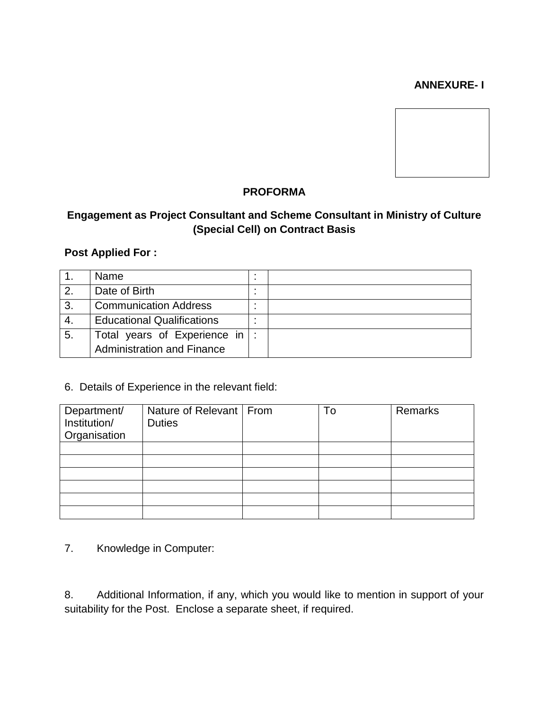#### **ANNEXURE- I**



### **PROFORMA**

## **Engagement as Project Consultant and Scheme Consultant in Ministry of Culture (Special Cell) on Contract Basis**

#### **Post Applied For :**

|                | <b>Name</b>                       |  |
|----------------|-----------------------------------|--|
| $\overline{2}$ | Date of Birth                     |  |
| 3.             | <b>Communication Address</b>      |  |
| -4.            | <b>Educational Qualifications</b> |  |
| 5.             | Total years of Experience in      |  |
|                | <b>Administration and Finance</b> |  |

#### 6. Details of Experience in the relevant field:

| Department/<br>Institution/<br>Organisation | Nature of Relevant   From<br><b>Duties</b> | To | Remarks |
|---------------------------------------------|--------------------------------------------|----|---------|
|                                             |                                            |    |         |
|                                             |                                            |    |         |
|                                             |                                            |    |         |
|                                             |                                            |    |         |
|                                             |                                            |    |         |
|                                             |                                            |    |         |

7. Knowledge in Computer:

8. Additional Information, if any, which you would like to mention in support of your suitability for the Post. Enclose a separate sheet, if required.